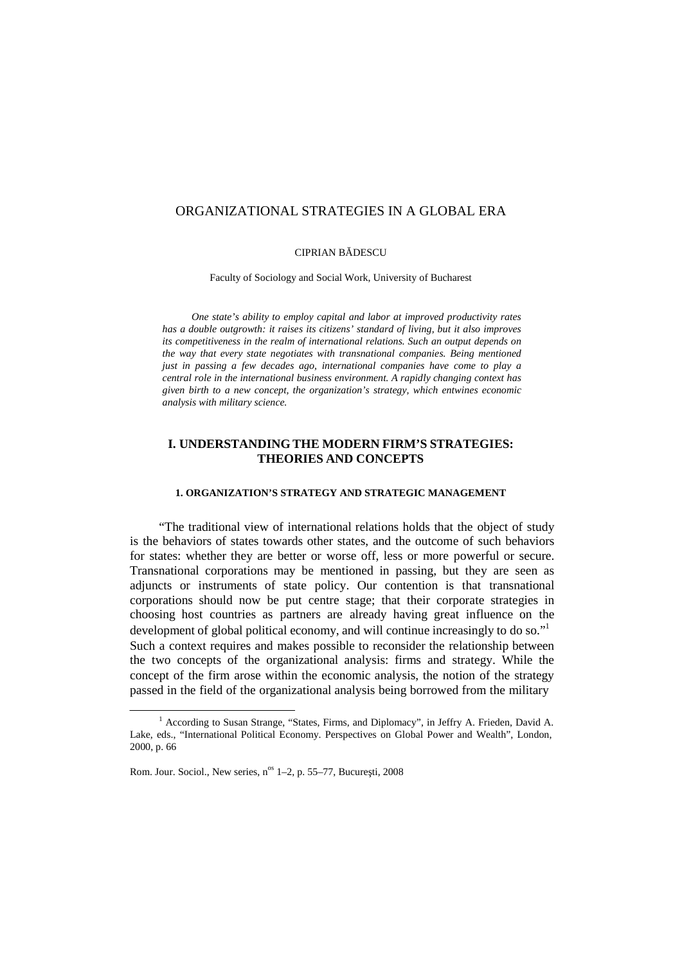# ORGANIZATIONAL STRATEGIES IN A GLOBAL ERA

#### CIPRIAN B DESCU

Faculty of Sociology and Social Work, University of Bucharest

*One state's ability to employ capital and labor at improved productivity rates has a double outgrowth: it raises its citizens' standard of living, but it also improves its competitiveness in the realm of international relations. Such an output depends on the way that every state negotiates with transnational companies. Being mentioned just in passing a few decades ago, international companies have come to play a central role in the international business environment. A rapidly changing context has given birth to a new concept, the organization's strategy, which entwines economic analysis with military science.*

# **I. UNDERSTANDING THE MODERN FIRM'S STRATEGIES: THEORIES AND CONCEPTS**

# **1. ORGANIZATION'S STRATEGY AND STRATEGIC MANAGEMENT**

"The traditional view of international relations holds that the object of study is the behaviors of states towards other states, and the outcome of such behaviors for states: whether they are better or worse off, less or more powerful or secure. Transnational corporations may be mentioned in passing, but they are seen as adjuncts or instruments of state policy. Our contention is that transnational corporations should now be put centre stage; that their corporate strategies in choosing host countries as partners are already having great influence on the development of global political economy, and will continue increasingly to do so." 1 Such a context requires and makes possible to reconsider the relationship between the two concepts of the organizational analysis: firms and strategy. While the concept of the firm arose within the economic analysis, the notion of the strategy passed in the field of the organizational analysis being borrowed from the military

<sup>&</sup>lt;sup>1</sup> According to Susan Strange, "States, Firms, and Diplomacy", in Jeffry A. Frieden, David A. Lake, eds., "International Political Economy. Perspectives on Global Power and Wealth", London, 2000, p. 66

Rom. Jour. Sociol., New series, n<sup>os</sup> 1–2, p. 55–77, Bucure ti, 2008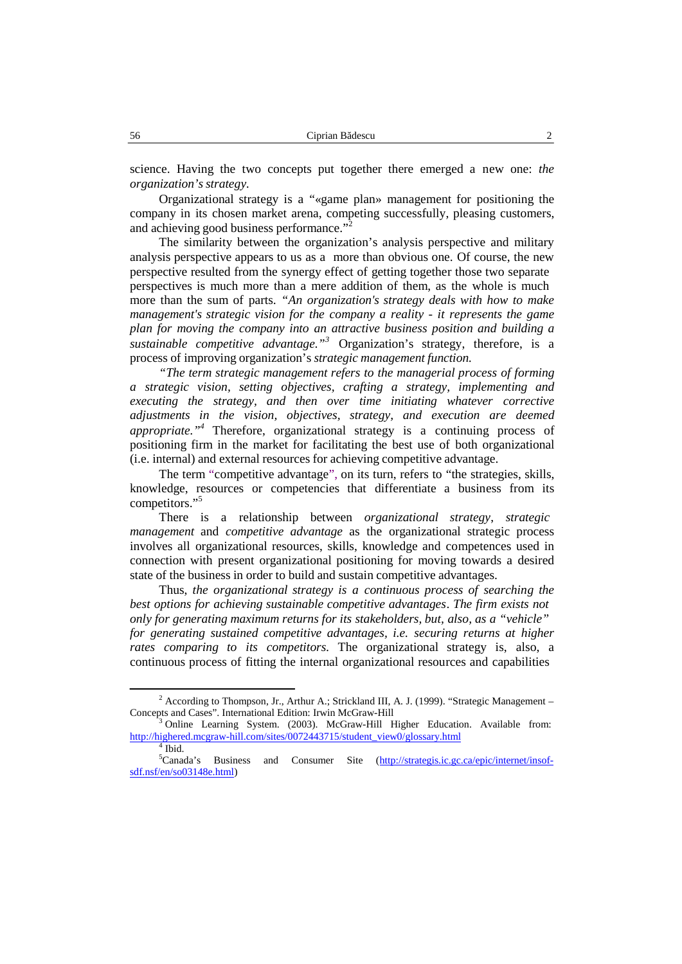science. Having the two concepts put together there emerged a new one: *the organization'sstrategy.*

Organizational strategy is a "«game plan» management for positioning the company in its chosen market arena, competing successfully, pleasing customers, and achieving good business performance."<sup>2</sup>

The similarity between the organization's analysis perspective and military analysis perspective appears to us as a more than obvious one. Of course, the new perspective resulted from the synergy effect of getting together those two separate perspectives is much more than a mere addition of them, as the whole is much more than the sum of parts. *"An organization's strategy deals with how to make management's strategic vision for the company a reality - it represents the game plan for moving the company into an attractive business position and building a sustainable competitive advantage." <sup>3</sup>* Organization's strategy, therefore, is a process of improving organization's *strategic management function.*

*"The term strategic management refers to the managerial process of forming a strategic vision, setting objectives, crafting a strategy, implementing and executing the strategy, and then over time initiating whatever corrective adjustments in the vision, objectives, strategy, and execution are deemed appropriate." <sup>4</sup>* Therefore, organizational strategy is a continuing process of positioning firm in the market for facilitating the best use of both organizational (i.e. internal) and external resources for achieving competitive advantage.

The term "competitive advantage", on its turn, refers to "the strategies, skills, knowledge, resources or competencies that differentiate a business from its competitors." 5

There is a relationship between *organizational strategy*, *strategic management* and *competitive advantage* as the organizational strategic process involves all organizational resources, skills, knowledge and competences used in connection with present organizational positioning for moving towards a desired state of the business in order to build and sustain competitive advantages.

Thus, *the organizational strategy is a continuous process of searching the best options for achieving sustainable competitive advantages*. *The firm existsnot only for generating maximum returns for its stakeholders, but, also, as a "vehicle" for generating sustained competitive advantages, i.e. securing returns at higher rates comparing to its competitors.* The organizational strategy is, also, a continuous process of fitting the internal organizational resources and capabilities

 $2$  According to Thompson, Jr., Arthur A.; Strickland III, A. J. (1999). "Strategic Management – Concepts and Cases". International Edition: Irwin McGraw-Hill<br><sup>3</sup> Online Learning System. (2003). McGraw-Hill Higher Education. Available from:

http://highered.mcgraw-hill.com/sites/0072443715/student\_view0/glossary.html 4 Ibid.

 ${}^5$ Canada's Business and Consumer Site (http://strategis.ic.gc.ca/epic/internet/insofsdf.nsf/en/so03148e.html)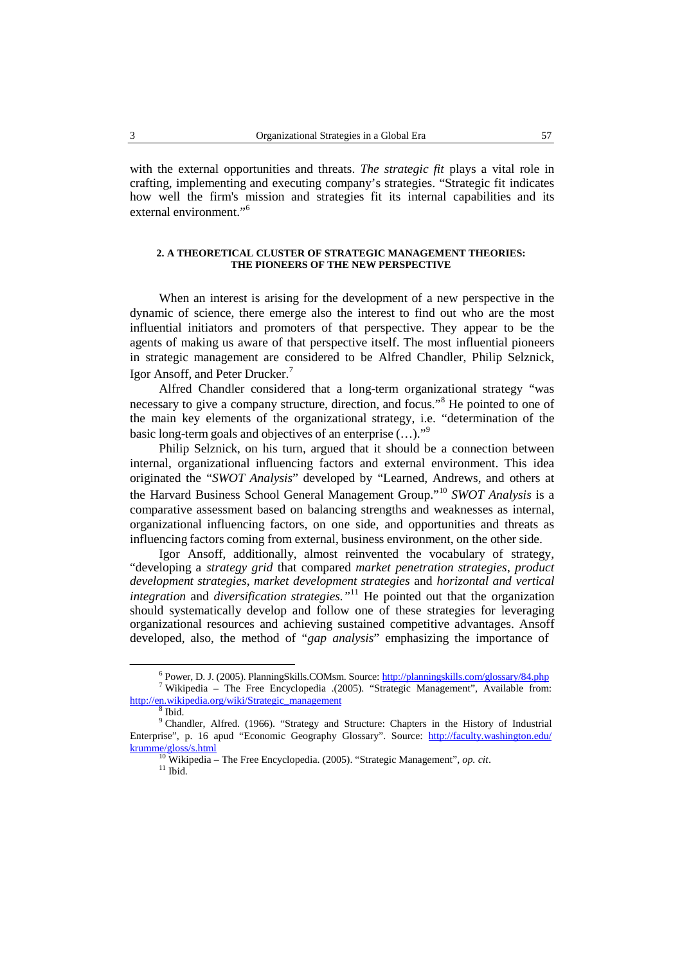with the external opportunities and threats. *The strategic fit* plays a vital role in crafting, implementing and executing company's strategies. "Strategic fitindicates how well the firm's mission and strategies fit its internal capabilities and its external environment."<sup>6</sup>

# **2. A THEORETICAL CLUSTER OF STRATEGIC MANAGEMENT THEORIES: THE PIONEERS OF THE NEW PERSPECTIVE**

When an interest is arising for the development of a new perspective in the dynamic of science, there emerge also the interest to find out who are the most influential initiators and promoters of that perspective. They appear to be the agents of making us aware of that perspective itself. The most influential pioneers in strategic management are considered to be Alfred Chandler, Philip Selznick, Igor Ansoff, and Peter Drucker.<sup>7</sup>

Alfred Chandler considered that a long-term organizational strategy "was necessary to give a company structure, direction, and focus."<sup>8</sup> He pointed to one of the main key elements of the organizational strategy, i.e. "determination of the basic long-term goals and objectives of an enterprise (...)."<sup>9</sup>

Philip Selznick, on his turn, argued that it should be a connection between internal, organizational influencing factors and external environment. This idea originated the "*SWOT Analysis*" developed by "Learned, Andrews, and others at the Harvard Business School General Management Group." <sup>10</sup> *SWOT Analysis* is a comparative assessment based on balancing strengths and weaknesses as internal, organizational influencing factors, on one side, and opportunities and threats as influencing factors coming from external, business environment, on the other side.

Igor Ansoff, additionally, almost reinvented the vocabulary of strategy, "developing a *strategy grid* that compared *market penetration strategies*, *product development strategies*, *market development strategies* and *horizontal and vertical integration* and *diversification strategies."* <sup>11</sup> He pointed out that the organization should systematically develop and follow one of these strategies for leveraging organizational resources and achieving sustained competitive advantages. Ansoff developed, also, the method of "*gap analysis*" emphasizing the importance of

<sup>6</sup> Power, D. J. (2005). PlanningSkills.COMsm. Source: http://planningskills.com/glossary/84.php <sup>7</sup> Wikipedia – The Free Encyclopedia .(2005). "Strategic Management", Available from: http://en.wikipedia.org/wiki/Strategic\_management <sup>8</sup>

<sup>&</sup>lt;sup>9</sup> Chandler, Alfred. (1966). "Strategy and Structure: Chapters in the History of Industrial Enterprise", p. 16 apud "Economic Geography Glossary". Source: http://faculty.washington.edu/ krumme/gloss/s.html <sup>10</sup> Wikipedia – The Free Encyclopedia. (2005). "Strategic Management", *op. cit*. <sup>11</sup> Ibid.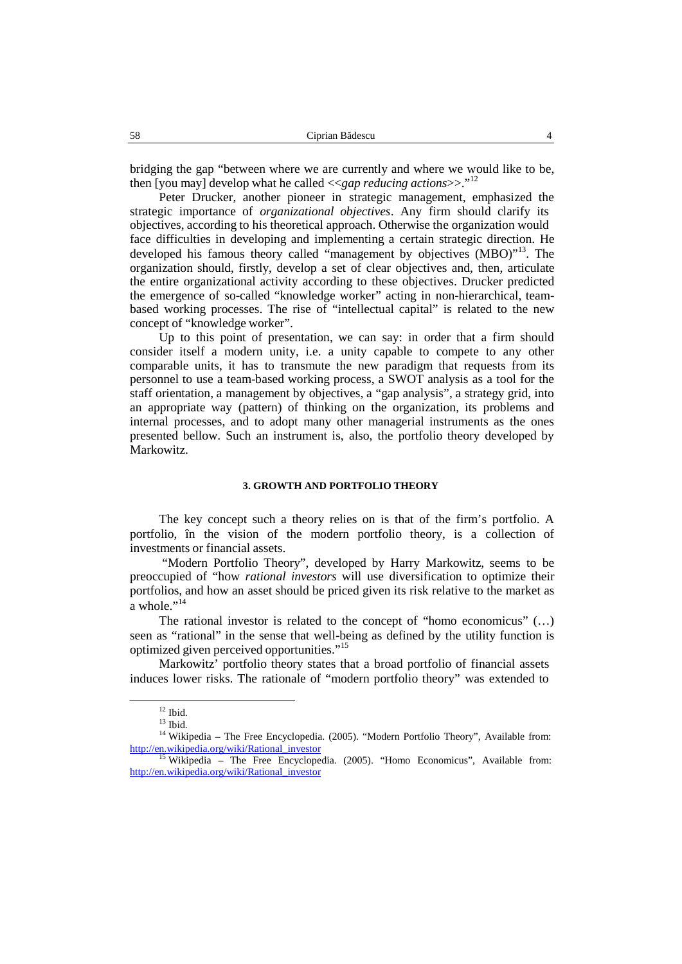bridging the gap "between where we are currently and where we would like to be, then [you may] develop what he called <<*gap reducing actions*>>."<sup>12</sup>

Peter Drucker, another pioneer in strategic management, emphasized the strategic importance of *organizational objectives*. Any firm should clarify its objectives, according to his theoretical approach. Otherwise the organization would face difficulties in developing and implementing a certain strategic direction. He developed his famous theory called "management by objectives (MBO)"<sup>13</sup>. The organization should, firstly, develop a set of clear objectives and, then, articulate the entire organizational activity according to these objectives. Drucker predicted the emergence of so-called "knowledge worker" acting in non-hierarchical, team based working processes. The rise of "intellectual capital" is related to the new concept of "knowledge worker".

Up to this point of presentation, we can say: in order that a firm should consider itself a modern unity, i.e. a unity capable to compete to any other comparable units, it has to transmute the new paradigm that requests from its personnel to use a team-based working process, a SWOT analysis as a tool for the staff orientation, a management by objectives, a "gap analysis", a strategy grid, into an appropriate way (pattern) of thinking on the organization, its problems and internal processes, and to adopt many other managerial instruments as the ones presented bellow. Such an instrument is, also, the portfolio theory developed by Markowitz.

# **3. GROWTH AND PORTFOLIO THEORY**

The key concept such a theory relies on is that of the firm's portfolio. A portfolio, în the vision of the modern portfolio theory, is a collection of investments or financial assets.

"Modern Portfolio Theory", developed by Harry Markowitz, seems to be preoccupied of"how *rational investors* will use diversification to optimize their portfolios, and how an asset should be priced given its risk relative to the market as a whole." $^{14}$ 

The rational investor is related to the concept of "homo economicus" (…) seen as "rational" in the sense that well-being as defined by the utility function is optimized given perceived opportunities." 15

Markowitz' portfolio theory states that a broad portfolio of financial assets induces lower risks. The rationale of "modern portfolio theory" was extended to

 $^{12}$  Ibid.<br> $^{13}$  Ibid.

<sup>&</sup>lt;sup>14</sup> Wikipedia – The Free Encyclopedia. (2005). "Modern Portfolio Theory", Available from: http://en.wikipedia.org/wiki/Rational\_investor<br><sup>15</sup> Wikipedia – The Free Encyclopedia. (2005). "Homo Economicus", Available from:

http://en.wikipedia.org/wiki/Rational\_investor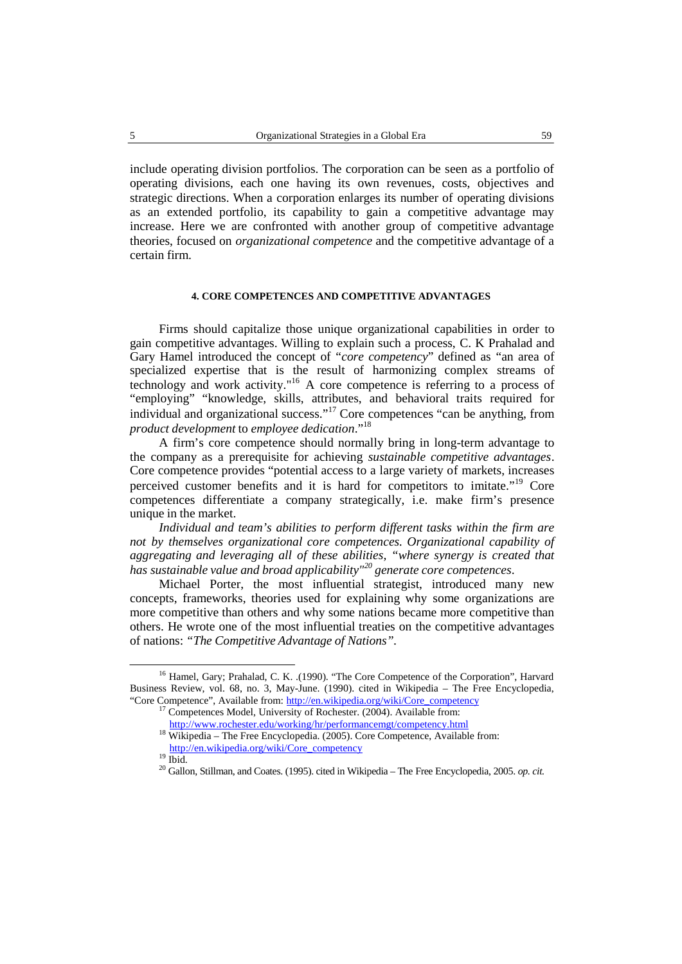include operating division portfolios. The corporation can be seen as a portfolio of operating divisions, each one having its own revenues, costs, objectives and strategic directions. When a corporation enlarges its number of operating divisions as an extended portfolio, its capability to gain a competitive advantage may increase. Here we are confronted with another group of competitive advantage theories, focused on *organizational competence* and the competitive advantage of a certain firm.

# **4. CORE COMPETENCES AND COMPETITIVE ADVANTAGES**

Firms should capitalize those unique organizational capabilities in order to gain competitive advantages. Willing to explain such a process, C. K Prahalad and Gary Hamel introduced the concept of "*core competency*" defined as "an area of specialized expertise that is the result of harmonizing complex streams of technology and work activity."<sup>16</sup> A core competence is referring to a process of "employing" "knowledge, skills, attributes, and behavioral traits required for individual and organizational success." <sup>17</sup> Core competences "can be anything, from *product development* to *employee dedication*." 18

A firm's core competence should normally bring in long-term advantage to the company as a prerequisite for achieving *sustainable competitive advantages*. Core competence provides "potential access to a large variety of markets, increases perceived customer benefits and it is hard for competitors to imitate."<sup>19</sup> Core competences differentiate a company strategically, i.e. make firm's presence unique in the market.

*Individual and team's abilities to perform different tasks within the firm are not by themselves organizational core competences. Organizational capability of aggregating and leveraging all of these abilities, "where synergy is created that has sustainable value and broad applicability" 20 generate core competences*.

Michael Porter, the most influential strategist, introduced many new concepts, frameworks, theories used for explaining why some organizations are more competitive than others and why some nations became more competitive than others. He wrote one of the most influential treaties on the competitive advantages of nations: *"The Competitive Advantage of Nations".*

<sup>&</sup>lt;sup>16</sup> Hamel, Gary; Prahalad, C. K. .(1990). "The Core Competence of the Corporation", Harvard Business Review, vol. 68, no. 3, May-June. (1990). cited in Wikipedia – The Free Encyclopedia, "Core Competence", Available from: http://en.wikipedia.org/wiki/Core\_competency

<sup>17</sup> Competences Model, University of Rochester. (2004). Available from:

http://www.rochester.edu/working/hr/performancemgt/competency.html <sup>18</sup> Wikipedia – The Free Encyclopedia. (2005). Core Competence, Available from:

http://en.wikipedia.org/wiki/Core\_competency

<sup>19</sup> Ibid. <sup>20</sup> Gallon, Stillman, and Coates. (1995). cited in Wikipedia – The Free Encyclopedia, 2005. *op. cit.*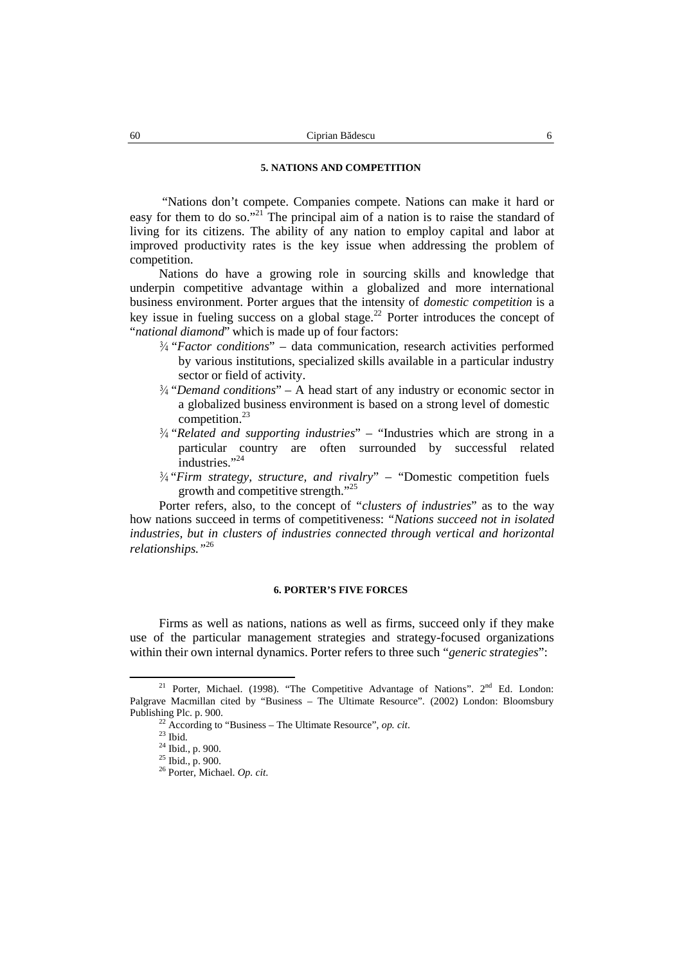# **5. NATIONS AND COMPETITION**

"Nations don't compete. Companies compete. Nations can make it hard or easy for them to do so."<sup>21</sup> The principal aim of a nation is to raise the standard of living for its citizens. The ability of any nation to employ capital and labor at improved productivity rates is the key issue when addressing the problem of competition.

Nations do have a growing role in sourcing skills and knowledge that underpin competitive advantage within a globalized and more international business environment. Porter argues that the intensity of *domestic competition* is a key issue in fueling success on a global stage.<sup>22</sup> Porter introduces the concept of "*national diamond*" which is made up of four factors:

- ¾ "*Factor conditions*" data communication, research activities performed by various institutions, specialized skills available in a particular industry sector or field of activity.
- ¾ "*Demand conditions*" A head start of any industry or economic sector in a globalized business environment is based on a strong level of domestic competition.<sup>23</sup>
- ¾ "*Related and supporting industries*" "Industries which are strong in a particular country are often surrounded by successful related industries."<sup>24</sup>
- ¾ "*Firm strategy, structure, and rivalry*" "Domestic competition fuels growth and competitive strength."<sup>25</sup>

Porter refers, also, to the concept of "*clusters of industries*" as to the way how nations succeed in terms of competitiveness: *"Nations succeed not in isolated industries, but in clusters of industries connected through vertical and horizontal relationships."* 26

#### **6. PORTER'S FIVE FORCES**

Firms as well as nations, nations as well as firms, succeed only if they make use of the particular management strategies and strategy-focused organizations within their own internal dynamics. Porter refers to three such "*generic strategies*":

<sup>&</sup>lt;sup>21</sup> Porter, Michael. (1998). "The Competitive Advantage of Nations".  $2<sup>nd</sup>$  Ed. London: Palgrave Macmillan cited by "Business – The Ultimate Resource". (2002) London: Bloomsbury Publishing Plc. p. 900.

<sup>22</sup> According to "Business – The Ultimate Resource", *op. cit*. <sup>23</sup> Ibid. <sup>24</sup> Ibid., p. 900. <sup>25</sup> Ibid., p. 900. <sup>26</sup> Porter, Michael. *Op. cit*.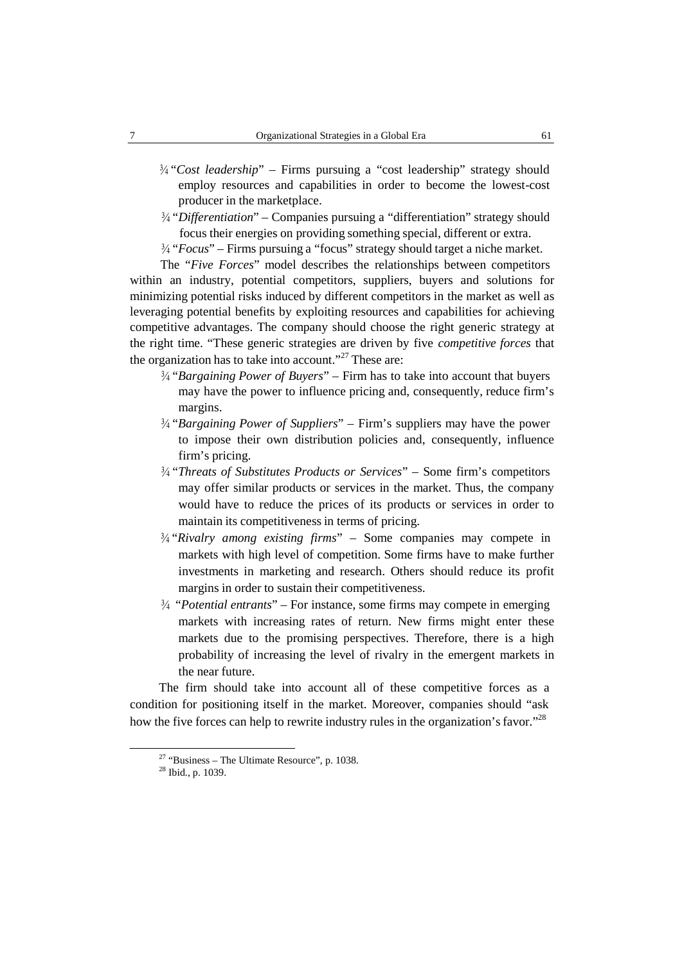- ¾ "*Cost leadership*" Firms pursuing a "cost leadership" strategy should employ resources and capabilities in order to become the lowest-cost producer in the marketplace.
- ¾ "*Differentiation*" Companies pursuing a "differentiation" strategy should focus their energies on providing something special, different or extra.
- ¾ "*Focus*" Firms pursuing a "focus" strategy should target a niche market.

The "*Five Forces*" model describes the relationships between competitors within an industry, potential competitors, suppliers, buyers and solutions for minimizing potential risks induced by different competitors in the market as well as leveraging potential benefits by exploiting resources and capabilities for achieving competitive advantages. The company should choose the right generic strategy at the right time. "These generic strategies are driven by five *competitive forces* that the organization has to take into account."<sup>27</sup> These are:

- ¾ "*Bargaining Power of Buyers*" Firm has to take into account that buyers may have the power to influence pricing and, consequently, reduce firm's margins.
- ¾ "*Bargaining Power of Suppliers*" Firm's suppliers may have the power to impose their own distribution policies and, consequently, influence firm's pricing.
- ¾ "*Threats of Substitutes Products or Services*" Some firm's competitors may offer similar products or services in the market. Thus, the company would have to reduce the prices of its products or services in order to maintain its competitiveness in terms of pricing.
- ¾ "*Rivalry among existing firms*" Some companies may compete in markets with high level of competition. Some firms have to make further investments in marketing and research. Others should reduce its profit margins in order to sustain their competitiveness.
- ¾ "*Potential entrants*" For instance, some firms may compete in emerging markets with increasing rates of return. New firms might enter these markets due to the promising perspectives. Therefore, there is a high probability of increasing the level of rivalry in the emergent markets in the near future.

The firm should take into account all of these competitive forces as a condition for positioning itself in the market. Moreover, companies should "ask how the five forces can help to rewrite industry rules in the organization's favor."<sup>28</sup>

<sup>&</sup>lt;sup>27</sup> "Business – The Ultimate Resource", p. 1038.<br><sup>28</sup> Ibid., p. 1039.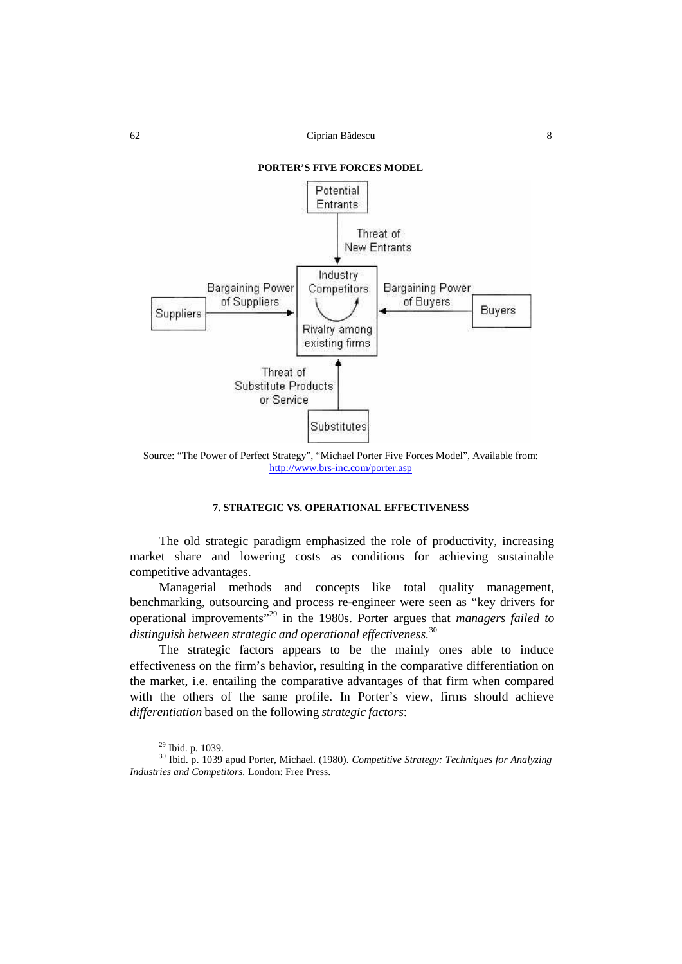

Source: "The Power of Perfect Strategy", "Michael Porter Five Forces Model", Available from: http://www.brs-inc.com/porter.asp

# **7. STRATEGIC VS. OPERATIONAL EFFECTIVENESS**

The old strategic paradigm emphasized the role of productivity, increasing market share and lowering costs as conditions for achieving sustainable competitive advantages.

Managerial methods and concepts like total quality management, benchmarking, outsourcing and process re-engineer were seen as "key drivers for operational improvements" 29 in the 1980s. Porter argues that *managers failed to distinguish between strategic and operational effectiveness.*<sup>30</sup>

The strategic factors appears to be the mainly ones able to induce effectiveness on the firm's behavior, resulting in the comparative differentiation on the market, i.e. entailing the comparative advantages of that firm when compared with the others of the same profile. In Porter's view, firms should achieve *differentiation* based on the following *strategic factors*:

<sup>29</sup> Ibid. p. 1039. <sup>30</sup> Ibid. p. <sup>1039</sup> apud Porter, Michael. (1980). *Competitive Strategy: Techniques for Analyzing Industries and Competitors.* London: Free Press.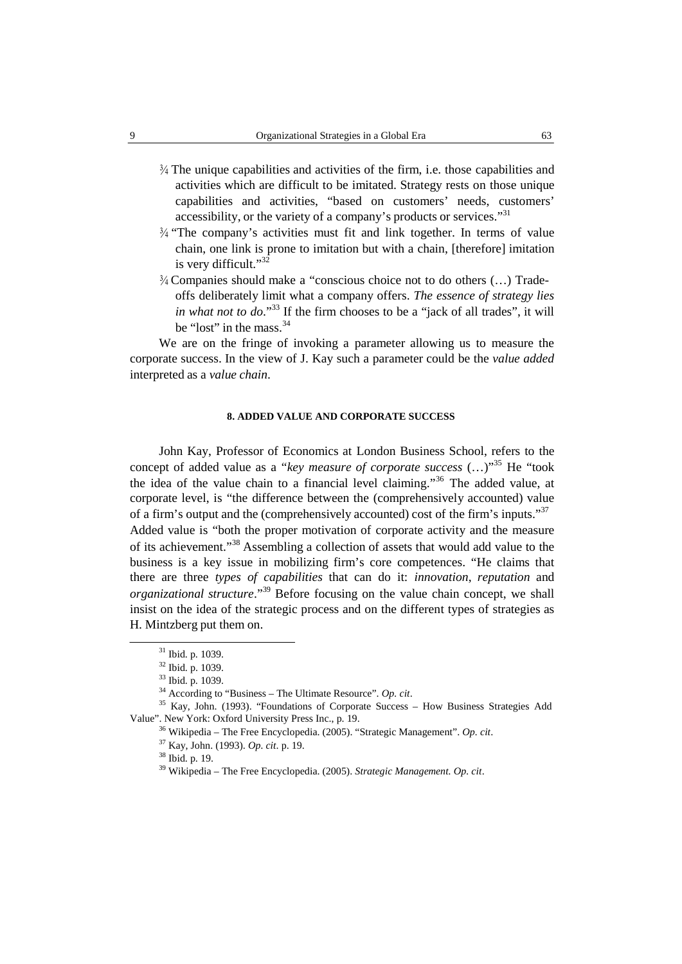- $\frac{3}{4}$  The unique capabilities and activities of the firm, i.e. those capabilities and activities which are difficult to be imitated. Strategy rests on those unique capabilities and activities, "based on customers' needs, customers' accessibility, or the variety of a company's products or services." 31
- $\frac{3}{4}$  "The company's activities must fit and link together. In terms of value chain, one link is prone to imitation but with a chain, [therefore] imitation is very difficult."<sup>32</sup>
- ¾ Companies should make a "conscious choice not to do others (…) Trade offs deliberately limit what a company offers. *The essence of strategy lies in what not to do*." <sup>33</sup> If the firm chooses to be a "jack of all trades", it will be "lost" in the mass.<sup>34</sup>

We are on the fringe of invoking a parameter allowing us to measure the corporate success. In the view of J. Kay such a parameter could be the *value added* interpreted as a *value chain*.

### **8. ADDED VALUE AND CORPORATE SUCCESS**

John Kay, Professor of Economics at London Business School, refers to the concept of added value as a "*key measure of corporate success* (…)" <sup>35</sup> He "took the idea of the value chain to a financial level claiming." <sup>36</sup> The added value, at corporate level, is "the difference between the (comprehensively accounted) value of a firm's output and the (comprehensively accounted) cost of the firm's inputs."<sup>37</sup> Added value is "both the proper motivation of corporate activity and the measure of its achievement." <sup>38</sup> Assembling a collection of assets that would add value to the business is a key issue in mobilizing firm's core competences. "He claims that there are three *types of capabilities* that can do it: *innovation*, *reputation* and *organizational structure*." <sup>39</sup> Before focusing on the value chain concept, we shall insist on the idea of the strategic process and on the different types of strategies as H. Mintzberg put them on.

<sup>31</sup> Ibid. p. 1039.

<sup>32</sup> Ibid. p. 1039.

<sup>33</sup> Ibid. p. 1039.

<sup>34</sup> According to "Business – The Ultimate Resource". *Op. cit*.

<sup>35</sup> Kay, John. (1993). "Foundations of Corporate Success – How Business Strategies Add Value". New York: Oxford University Press Inc., p. 19.

<sup>36</sup> Wikipedia – The Free Encyclopedia. (2005). "Strategic Management". *Op. cit*.

<sup>37</sup> Kay, John. (1993). *Op. cit*. p. 19.

<sup>38</sup> Ibid. p. 19.

<sup>39</sup> Wikipedia – The Free Encyclopedia. (2005). *Strategic Management. Op. cit*.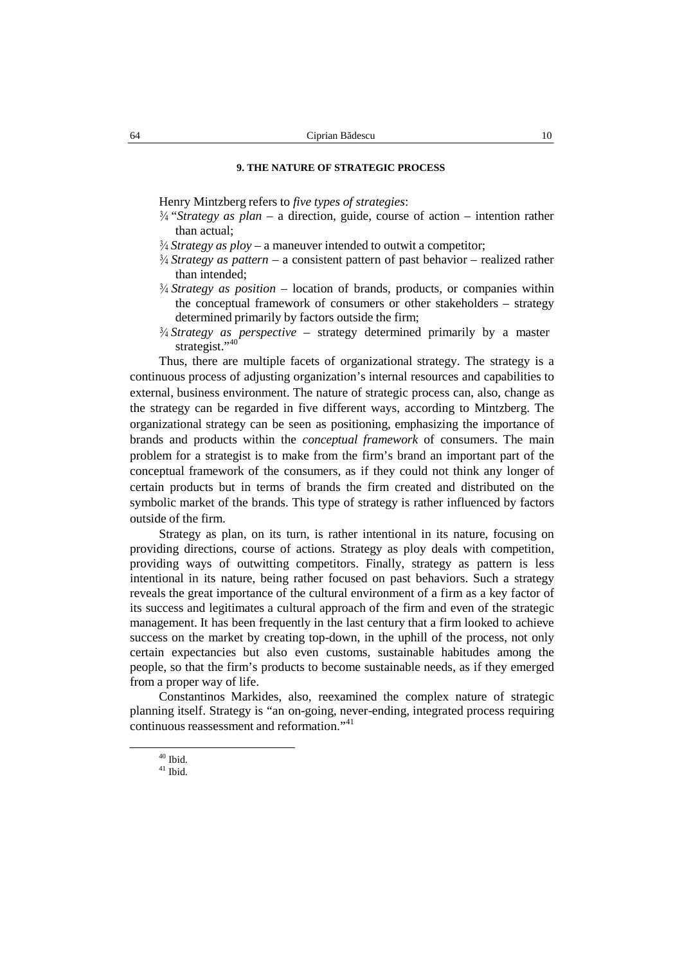## **9. THE NATURE OF STRATEGIC PROCESS**

Henry Mintzberg refers to *five types of strategies*:

- ¾ "*Strategy as plan* a direction, guide, course of action intention rather than actual;
- ¾ *Strategy as ploy* a maneuver intended to outwit a competitor;
- ¾ *Strategy as pattern* a consistent pattern of past behavior realized rather than intended;
- $\frac{3}{4}$  *Strategy as position* location of brands, products, or companies within the conceptual framework of consumers or other stakeholders – strategy determined primarily by factors outside the firm;
- ¾ *Strategy as perspective* strategy determined primarily by a master strategist."<sup>40</sup>

Thus, there are multiple facets of organizational strategy. The strategy is a continuous process of adjusting organization's internal resources and capabilities to external, business environment. The nature of strategic process can, also, change as the strategy can be regarded in five different ways, according to Mintzberg. The organizational strategy can be seen as positioning, emphasizing the importance of brands and products within the *conceptual framework* of consumers. The main problem for a strategist is to make from the firm's brand an important part of the conceptual framework of the consumers, as if they could not think any longer of certain products but in terms of brands the firm created and distributed on the symbolic market of the brands. This type of strategy is rather influenced by factors outside of the firm.

Strategy as plan, on its turn, is rather intentional in its nature, focusing on providing directions, course of actions. Strategy as ploy deals with competition, providing ways of outwitting competitors. Finally, strategy as pattern is less intentional in its nature, being rather focused on past behaviors. Such a strategy reveals the great importance of the cultural environment of a firm as a key factor of its success and legitimates a cultural approach of the firm and even of the strategic management. It has been frequently in the last century that a firm looked to achieve success on the market by creating top-down, in the uphill of the process, not only certain expectancies but also even customs, sustainable habitudes among the people, so that the firm's products to become sustainable needs, as if they emerged from a proper way of life.

Constantinos Markides, also, reexamined the complex nature of strategic planning itself. Strategy is "an on-going, never-ending, integrated process requiring continuous reassessment and reformation." 41

 $^{40}$  Ibid.  $^{41}$  Ibid.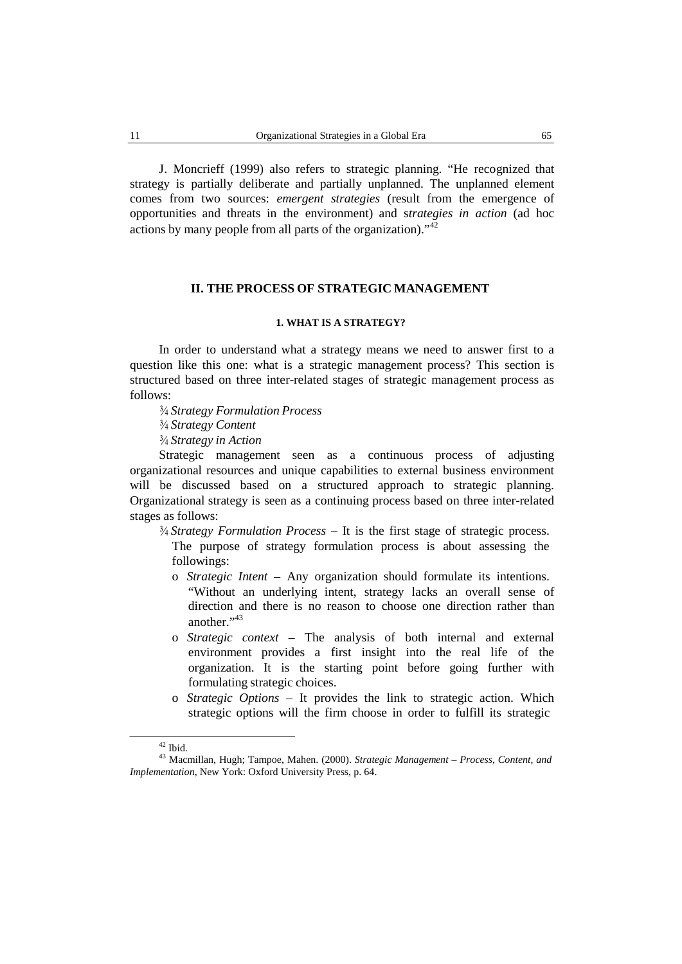J. Moncrieff (1999) also refers to strategic planning. "He recognized that strategy is partially deliberate and partially unplanned. The unplanned element comes from two sources: *emergent strategies* (result from the emergence of opportunities and threats in the environment) and s*trategies in action* (ad hoc actions by many people from all parts of the organization)."<sup>42</sup>

# **II. THE PROCESS OF STRATEGIC MANAGEMENT**

# **1. WHAT IS A STRATEGY?**

In order to understand what a strategy means we need to answer first to a question like this one: what is a strategic management process? This section is structured based on three inter-related stages of strategic management process as follows:

- ¾ *Strategy Formulation Process*
- ¾ *Strategy Content*
- ¾ *Strategy in Action*

Strategic management seen as a continuous process of adjusting organizational resources and unique capabilities to external business environment will be discussed based on a structured approach to strategic planning. Organizational strategy is seen as a continuing process based on three inter-related stages as follows:

- ¾ *Strategy Formulation Process* It is the first stage of strategic process. The purpose of strategy formulation process is about assessing the followings:
	- o *Strategic Intent* Any organization should formulate its intentions. "Without an underlying intent, strategy lacks an overall sense of direction and there is no reason to choose one direction rather than another."<sup>43</sup>
	- o *Strategic context* The analysis of both internal and external environment provides a first insight into the real life of the organization. It is the starting point before going further with formulating strategic choices.
	- o *Strategic Options* It provides the link to strategic action. Which strategic options will the firm choose in order to fulfill its strategic

<sup>42</sup> Ibid. <sup>43</sup> Macmillan, Hugh; Tampoe, Mahen. (2000). *Strategic Management – Process, Content, and Implementation*, New York: Oxford University Press, p. 64.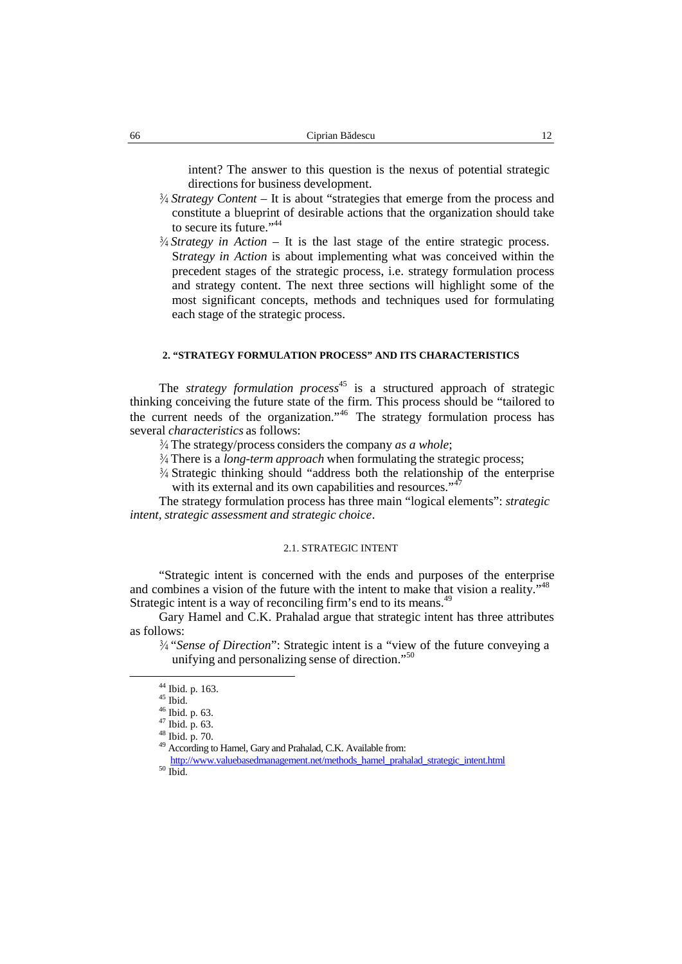intent? The answer to this question is the nexus of potential strategic directions for business development.

- ¾ *Strategy Content* It is about "strategies that emerge from the process and constitute a blueprint of desirable actions that the organization should take to secure its future."<sup>44</sup>
- ¾ *Strategy in Action* It is the last stage of the entire strategic process. S*trategy in Action* is about implementing what was conceived within the precedent stages of the strategic process, i.e. strategy formulation process and strategy content. The next three sections will highlight some of the most significant concepts, methods and techniques used for formulating each stage of the strategic process.

#### **2. "STRATEGY FORMULATION PROCESS" AND ITS CHARACTERISTICS**

The *strategy formulation process* 45 is a structured approach of strategic thinking conceiving the future state of the firm. This process should be "tailored to the current needs of the organization."<sup>46</sup> The strategy formulation process has several *characteristics* as follows:

- ¾ The strategy/process considers the company *as a whole*;
- <sup>3/4</sup> There is a *long-term approach* when formulating the strategic process;
- $\frac{3}{4}$  Strategic thinking should "address both the relationship of the enterprise with its external and its own capabilities and resources."<sup>47</sup>

The strategy formulation process has three main "logical elements": *strategic intent, strategic assessment and strategic choice*.

## 2.1. STRATEGIC INTENT

"Strategic intent is concerned with the ends and purposes of the enterprise and combines a vision of the future with the intent to make that vision a reality."<sup>48</sup> Strategic intent is a way of reconciling firm's end to its means.<sup>49</sup>

Gary Hamel and C.K. Prahalad argue that strategic intent has three attributes as follows:

¾ "*Sense of Direction*": Strategic intent is a "view of the future conveying a unifying and personalizing sense of direction." 50

<sup>&</sup>lt;sup>44</sup> Ibid. p. 163.  $^{45}$  Ibid. p. 63.  $^{47}$  Ibid. p. 63.  $^{47}$  Ibid. p. 63.  $^{48}$  Ibid. p. 70.  $^{49}$  According to Hamel, Gary and Prahalad, C.K. Available from:

http://www.valuebasedmanagement.net/methods\_hamel\_prahalad\_strategic\_intent.html 50 Ibid.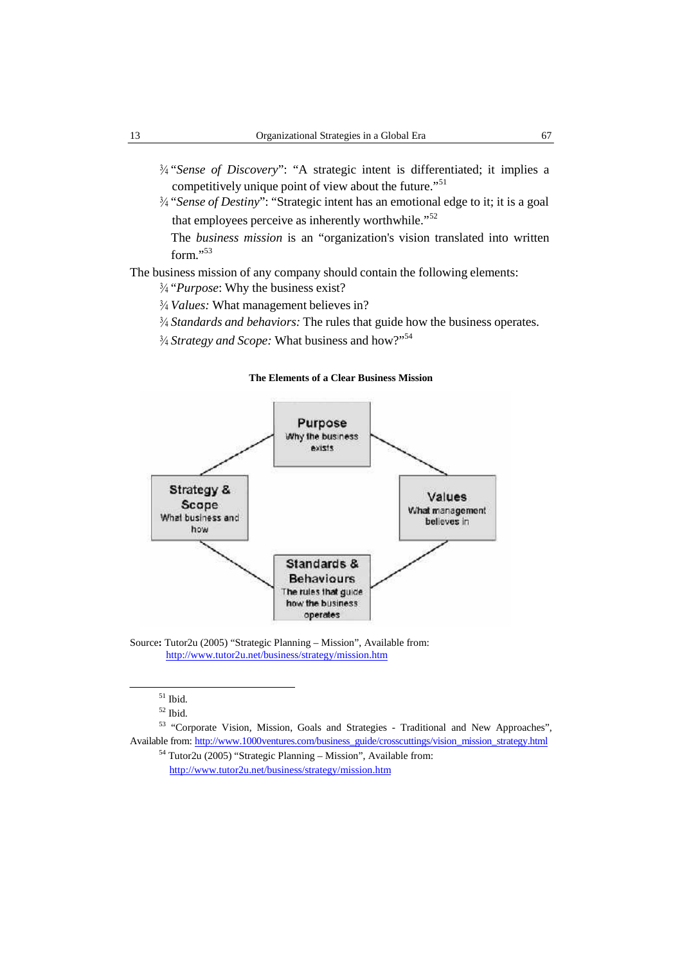- <sup>3/4</sup> "Sense of Discovery": "A strategic intent is differentiated; it implies a competitively unique point of view about the future."<sup>51</sup>
- ¾ "*Sense of Destiny*": "Strategic intent has an emotional edge to it; it is a goal that employees perceive as inherently worthwhile."<sup>52</sup>

The *business mission* is an "organization's vision translated into written form $"$ <sup>53</sup>

# The business mission of any company should contain the following elements:

¾ "*Purpose*: Why the business exist?

- ¾ *Values:* What management believes in?
- ¾ *Standards and behaviors:* The rules that guide how the business operates.
- ¾ *Strategy and Scope:* What business and how?" 54

# **The Elements of a Clear Business Mission**



Source**:** Tutor2u (2005) "Strategic Planning – Mission", Available from: http://www.tutor2u.net/business/strategy/mission.htm

 $51$  Ibid.

 $52$  Ibid.

<sup>53</sup> "Corporate Vision, Mission, Goals and Strategies - Traditional and New Approaches", Available from: http://www.1000ventures.com/business\_guide/crosscuttings/vision\_mission\_strategy.html

<sup>54</sup> Tutor2u (2005) "Strategic Planning – Mission", Available from: http://www.tutor2u.net/business/strategy/mission.htm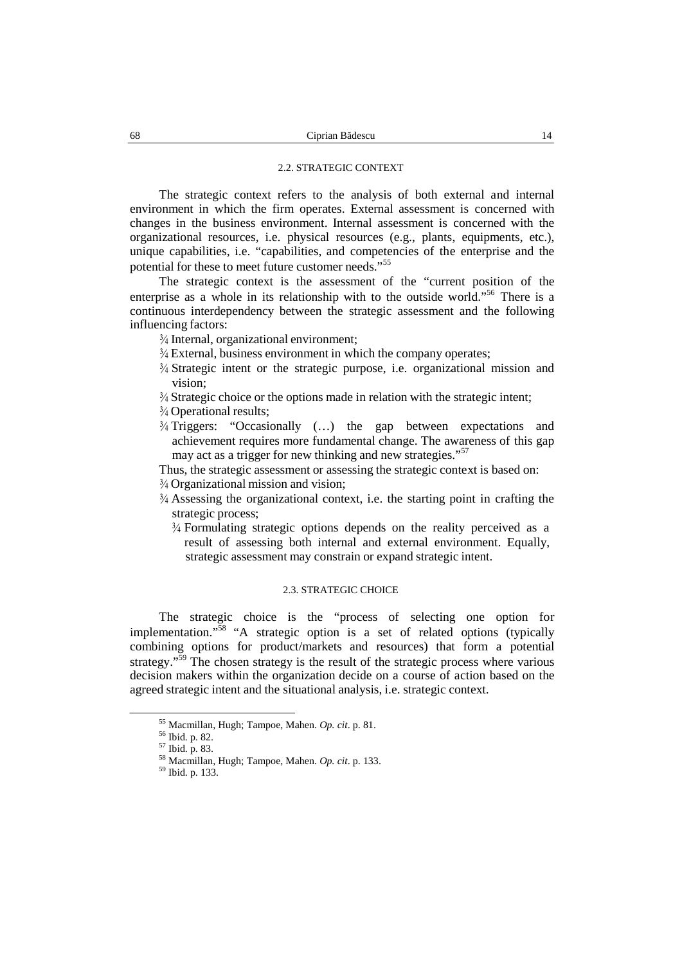#### 2.2. STRATEGIC CONTEXT

The strategic context refers to the analysis of both external and internal environment in which the firm operates. External assessment is concerned with changes in the business environment. Internal assessment is concerned with the organizational resources, i.e. physical resources (e.g., plants, equipments, etc.), unique capabilities, i.e. "capabilities, and competencies of the enterprise and the potential for these to meet future customer needs."<sup>55</sup>

The strategic context is the assessment of the "current position of the enterprise as a whole in its relationship with to the outside world."<sup>56</sup> There is a continuous interdependency between the strategic assessment and the following influencing factors:

¾ Internal, organizational environment;

- $\frac{3}{4}$  External, business environment in which the company operates;
- ¾ Strategic intent or the strategic purpose, i.e. organizational mission and vision;
- ¾ Strategic choice or the options made in relation with the strategic intent;
- ¾ Operational results;
- $\frac{3}{4}$  Triggers: "Occasionally (...) the gap between expectations and achievement requires more fundamental change. The awareness of this gap may act as a trigger for new thinking and new strategies." 57
- Thus, the strategic assessment or assessing the strategic context is based on:
- ¾ Organizational mission and vision;
- $\frac{3}{4}$  Assessing the organizational context, i.e. the starting point in crafting the strategic process;
	- ¾ Formulating strategic options depends on the reality perceived as a result of assessing both internal and external environment. Equally, strategic assessment may constrain or expand strategic intent.

# 2.3. STRATEGIC CHOICE

The strategic choice is the "process of selecting one option for implementation." <sup>58</sup> "A strategic option is a set of related options (typically combining options for product/markets and resources) that form a potential strategy."<sup>59</sup> The chosen strategy is the result of the strategic process where various decision makers within the organization decide on a course of action based on the agreed strategic intent and the situational analysis, i.e. strategic context.

<sup>55</sup> Macmillan, Hugh; Tampoe, Mahen. *Op. cit*. p. 81. <sup>56</sup> Ibid. p. 82. <sup>57</sup> Ibid. p. 83. <sup>58</sup> Macmillan, Hugh; Tampoe, Mahen. *Op. cit*. p. 133. <sup>59</sup> Ibid. p. 133.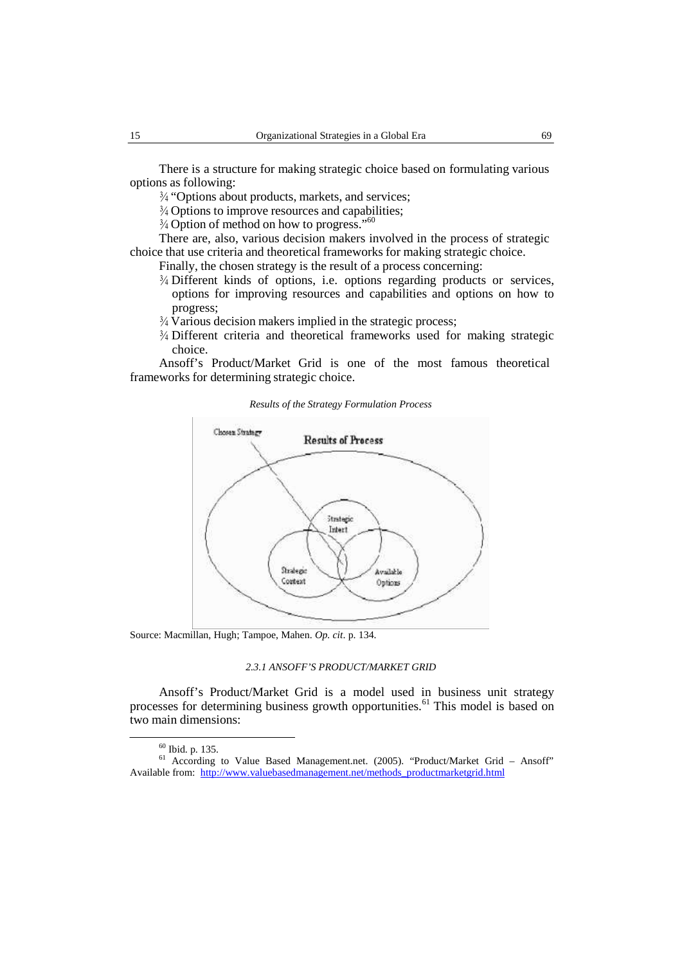There is a structure for making strategic choice based on formulating various options as following:

¾ "Options about products, markets, and services;

<sup>3</sup>/<sub>4</sub> Options to improve resources and capabilities;

<sup>3</sup>/4 Option of method on how to progress."<sup>60</sup>

There are, also, various decision makers involved in the process of strategic choice that use criteria and theoretical frameworks for making strategic choice.

Finally, the chosen strategy is the result of a process concerning:

- ¾ Different kinds of options, i.e. options regarding products or services, options for improving resources and capabilities and options on how to progress;
- ¾ Various decision makers implied in the strategic process;
- ¾ Different criteria and theoretical frameworks used for making strategic choice.

Ansoff's Product/Market Grid is one of the most famous theoretical frameworks for determining strategic choice.

*Results of the Strategy Formulation Process*



Source: Macmillan, Hugh; Tampoe, Mahen. *Op. cit*. p. 134.

#### *2.3.1 ANSOFF'S PRODUCT/MARKET GRID*

Ansoff's Product/Market Grid is a model used in business unit strategy processes for determining business growth opportunities.<sup>61</sup> This model is based on two main dimensions:

 $60$  Ibid. p. 135.<br>
61 According to Value Based Management.net. (2005). "Product/Market Grid – Ansoff" Available from: http://www.valuebasedmanagement.net/methods\_productmarketgrid.html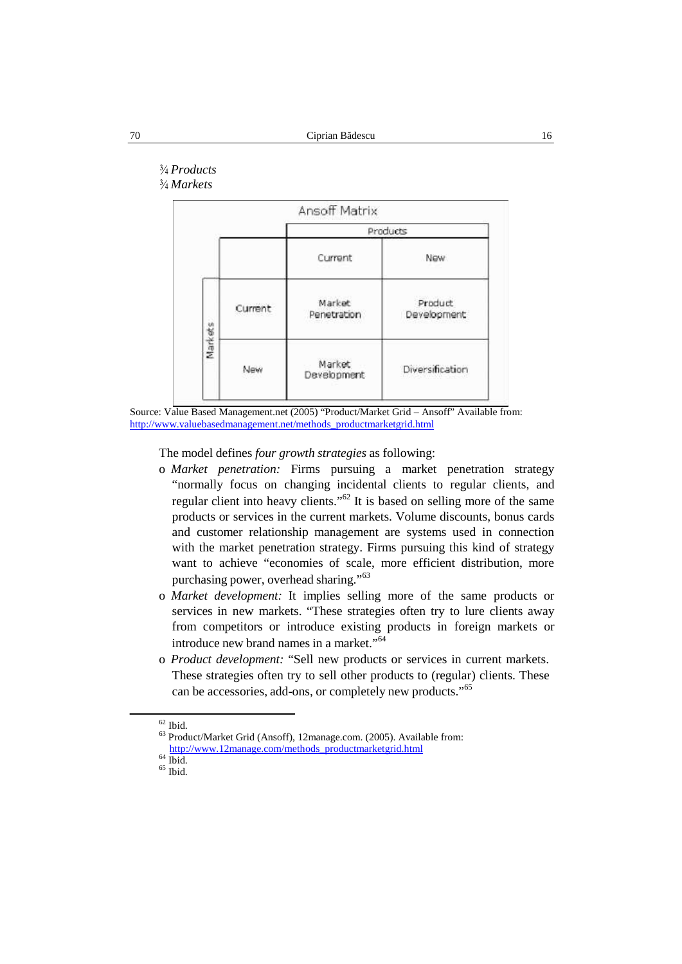# ¾ *Products*

¾ *Markets*



Source: Value Based Management.net (2005) "Product/Market Grid – Ansoff" Available from: http://www.valuebasedmanagement.net/methods\_productmarketgrid.html

The model defines *four growth strategies* as following:

- o *Market penetration:* Firms pursuing a market penetration strategy "normally focus on changing incidental clients to regular clients, and regular client into heavy clients."<sup>62</sup> It is based on selling more of the same products or services in the current markets. Volume discounts, bonus cards and customer relationship management are systems used in connection with the market penetration strategy. Firms pursuing this kind of strategy want to achieve "economies of scale, more efficient distribution, more purchasing power, overhead sharing."<sup>63</sup>
- o *Market development:* It implies selling more of the same products or services in new markets. "These strategies often try to lure clients away from competitors or introduce existing products in foreign markets or introduce new brand names in a market." 64
- o *Product development:* "Sell new products or services in current markets. These strategies often try to sell other products to (regular) clients. These can be accessories, add-ons, or completely new products." 65

 $^{62}$  Ibid. 63 Product/Market Grid (Ansoff), 12manage.com. (2005). Available from:  $$\,{\rm http://www.12mange.com/methods\_productmarketgrid.html}_{\rm 64}$ Ibid. $$\,{\rm 65}$$  Ibid.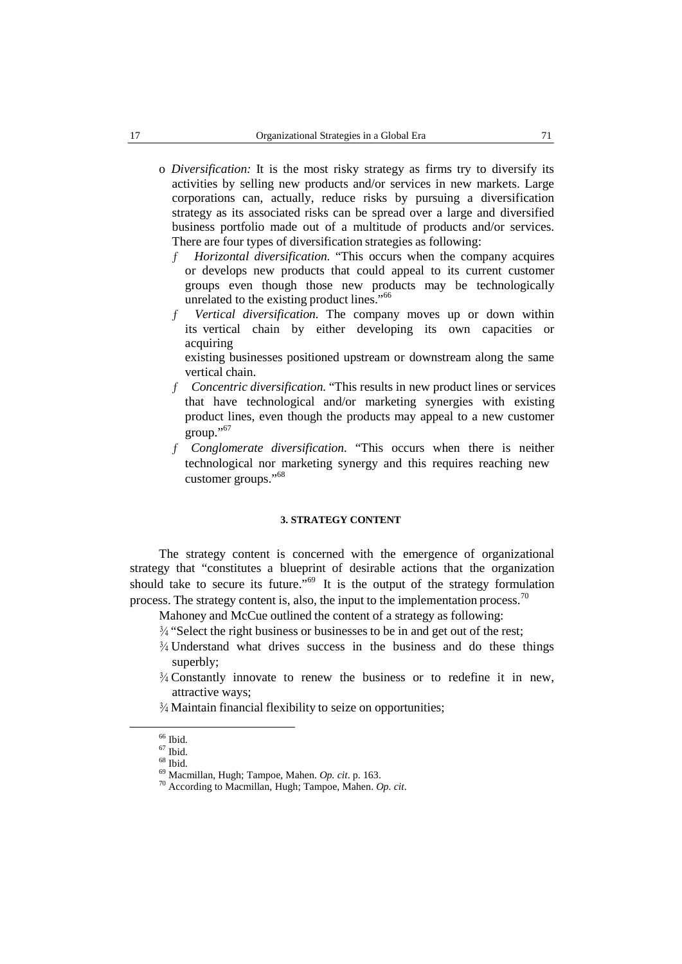o *Diversification:* It is the most risky strategy as firms try to diversify its activities by selling new products and/or services in new markets. Large corporations can, actually, reduce risks by pursuing a diversification strategy as its associated risks can be spread over a large and diversified business portfolio made out of a multitude of products and/or services. There are four types of diversification strategies as following:

ƒ *Horizontal diversification.* "This occurs when the company acquires or develops new products that could appeal to its current customer groups even though those new products may be technologically unrelated to the existing product lines." 66

ƒ *Vertical diversification.* The company moves up or down within its vertical chain by either developing its own capacities or acquiring

existing businesses positioned upstream or downstream along the same vertical chain.

- ƒ *Concentric diversification.* "This results in new productlines or services that have technological and/or marketing synergies with existing product lines, even though the products may appeal to a new customer group." 67
- ƒ *Conglomerate diversification.* "This occurs when there is neither technological nor marketing synergy and this requires reaching new customer groups." 68

#### **3. STRATEGY CONTENT**

The strategy content is concerned with the emergence of organizational strategy that "constitutes a blueprint of desirable actions that the organization should take to secure its future."<sup>69</sup> It is the output of the strategy formulation process. The strategy content is, also, the input to the implementation process.<sup>70</sup>

- Mahoney and McCue outlined the content of a strategy as following:
- ¾ "Select the right business or businesses to be in and get out of the rest;
- $\frac{3}{4}$  Understand what drives success in the business and do these things superbly;
- $\frac{3}{4}$  Constantly innovate to renew the business or to redefine it in new, attractive ways;
- ¾ Maintain financial flexibility to seize on opportunities;

<sup>66</sup> Ibid. <sup>67</sup> Ibid. <sup>68</sup> Ibid. <sup>69</sup> Macmillan, Hugh; Tampoe, Mahen. *Op. cit*. p. 163. <sup>70</sup> According to Macmillan, Hugh; Tampoe, Mahen. *Op. cit*.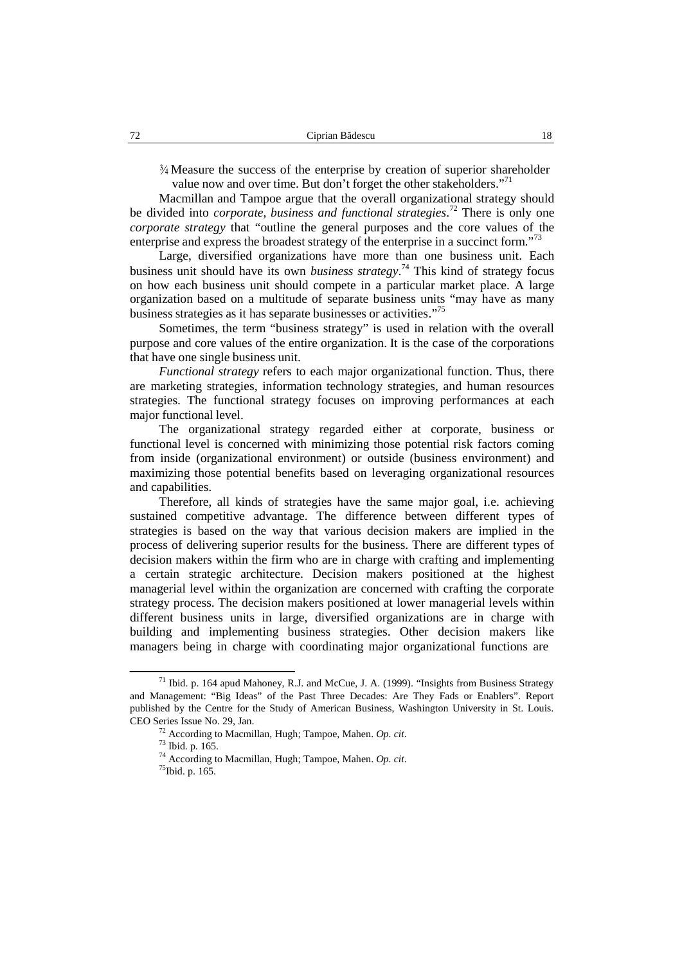$\frac{3}{4}$  Measure the success of the enterprise by creation of superior shareholder value now and over time. But don't forget the other stakeholders."<sup>71</sup>

Macmillan and Tampoe argue that the overall organizational strategy should be divided into *corporate, business and functional strategies*.<sup>72</sup> There is only one *corporate strategy* that "outline the general purposes and the core values of the enterprise and express the broadest strategy of the enterprise in a succinct form."<sup>73</sup>

Large, diversified organizations have more than one business unit. Each business unit should have its own *business strategy*.<sup>74</sup> This kind of strategy focus on how each business unit should compete in a particular market place. A large organization based on a multitude of separate business units "may have as many business strategies as it has separate businesses or activities."<sup>75</sup>

Sometimes, the term "business strategy" is used in relation with the overall purpose and core values of the entire organization. It is the case of the corporations that have one single business unit.

*Functional strategy* refers to each major organizational function. Thus, there are marketing strategies, information technology strategies, and human resources strategies. The functional strategy focuses on improving performances at each major functional level.

The organizational strategy regarded either at corporate, business or functional level is concerned with minimizing those potential risk factors coming from inside (organizational environment) or outside (business environment) and maximizing those potential benefits based on leveraging organizational resources and capabilities.

Therefore, all kinds of strategies have the same major goal, i.e. achieving sustained competitive advantage. The difference between different types of strategies is based on the way that various decision makers are implied in the process of delivering superior results for the business. There are different types of decision makers within the firm who are in charge with crafting and implementing a certain strategic architecture. Decision makers positioned at the highest managerial level within the organization are concerned with crafting the corporate strategy process. The decision makers positioned at lower managerial levels within different business units in large, diversified organizations are in charge with building and implementing business strategies. Other decision makers like managers being in charge with coordinating major organizational functions are

 $71$  Ibid. p. 164 apud Mahoney, R.J. and McCue, J. A. (1999). "Insights from Business Strategy and Management: "Big Ideas" of the Past Three Decades: Are They Fads or Enablers". Report published by the Centre for the Study of American Business, Washington University in St. Louis. CEO Series Issue No. 29, Jan.

<sup>72</sup> According to Macmillan, Hugh; Tampoe, Mahen. *Op. cit*.

<sup>73</sup> Ibid. p. 165.

<sup>&</sup>lt;sup>74</sup> According to Macmillan, Hugh; Tampoe, Mahen. *Op. cit.* <sup>75</sup>Ibid. p. 165.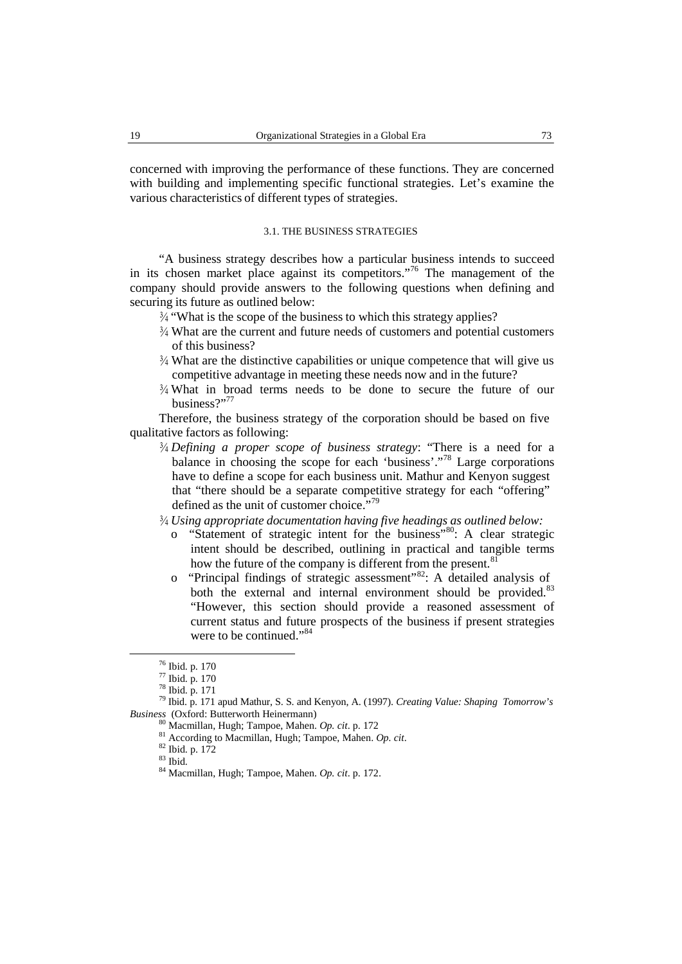concerned with improving the performance of these functions. They are concerned with building and implementing specific functional strategies. Let's examine the various characteristics of different types of strategies.

# 3.1. THE BUSINESS STRATEGIES

"A business strategy describes how a particular business intends to succeed in its chosen market place against its competitors." <sup>76</sup> The management of the company should provide answers to the following questions when defining and securing its future as outlined below:

- $\frac{3}{4}$  "What is the scope of the business to which this strategy applies?
- $\frac{3}{4}$  What are the current and future needs of customers and potential customers of this business?
- ¾ What are the distinctive capabilities or unique competence that will give us competitive advantage in meeting these needs now andin the future?
- $\frac{3}{4}$  What in broad terms needs to be done to secure the future of our business?"77

Therefore, the business strategy of the corporation should be based on five qualitative factors as following:

- ¾ *Defining a proper scope of business strategy*: "There is a need for a balance in choosing the scope for each 'business'."<sup>78</sup> Large corporations have to define a scope for each business unit. Mathur and Kenyon suggest that "there should be a separate competitive strategy for each "offering" defined as the unit of customer choice."<sup>79</sup>
- ¾ *Using appropriate documentation having five headings as outlined below:*
	- o "Statement of strategic intent for the business"<sup>80</sup>: A clear strategic intent should be described, outlining in practical and tangible terms how the future of the company is different from the present.<sup>81</sup>
	- o "Principal findings of strategic assessment" <sup>82</sup>: A detailed analysis of both the external and internal environment should be provided.<sup>83</sup> "However, this section should provide a reasoned assessment of current status and future prospects of the business if present strategies were to be continued."<sup>84</sup>

<sup>76</sup> Ibid. p. 170

<sup>77</sup> Ibid. p. 170

<sup>78</sup> Ibid. p. 171

<sup>79</sup> Ibid. p. 171 apud Mathur, S. S. and Kenyon, A. (1997). *Creating Value: Shaping Tomorrow's Business* (Oxford: Butterworth Heinermann) <sup>80</sup> Macmillan, Hugh; Tampoe, Mahen. *Op. cit*. p. <sup>172</sup>

<sup>81</sup> According to Macmillan, Hugh; Tampoe, Mahen. *Op. cit.* 82 Ibid. p. 172 83 Ibid.

<sup>83</sup> Ibid. <sup>84</sup> Macmillan, Hugh; Tampoe, Mahen. *Op. cit*. p. 172.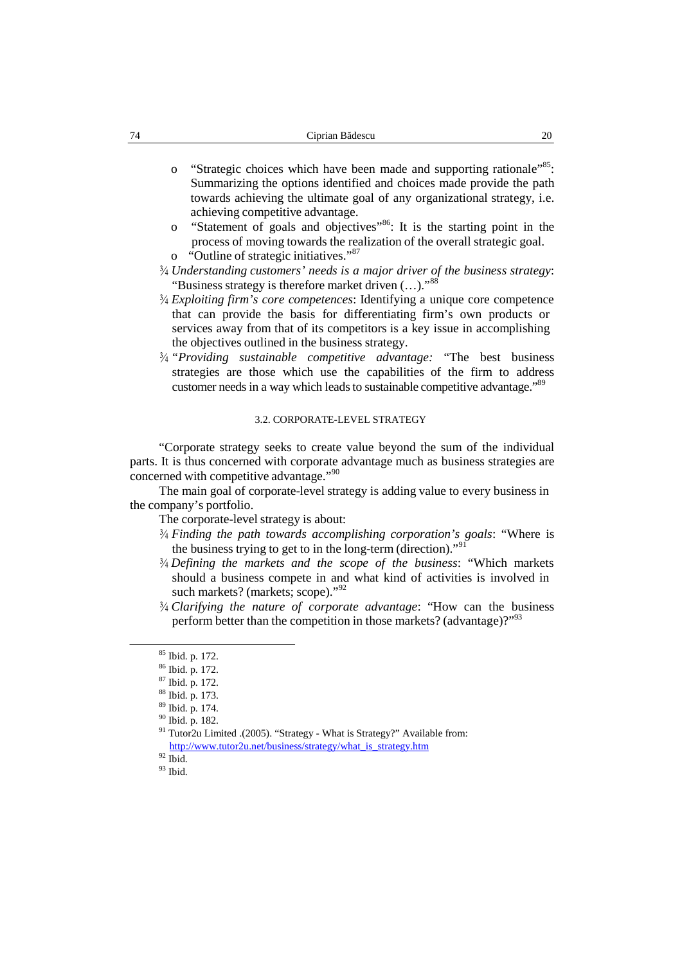- o "Strategic choices which have been made and supporting rationale"<sup>85</sup>: Summarizing the options identified and choices made provide the path towards achieving the ultimate goal of any organizational strategy, i.e. achieving competitive advantage.
- o "Statement of goals and objectives"<sup>86</sup>: It is the starting point in the process of moving towards the realization of the overall strategic goal.
- o "Outline of strategic initiatives." 87
- ¾ *Understanding customers' needs is a major driver of the business strategy*: "Business strategy is therefore market driven  $(...)$ ."<sup>88</sup>
- ¾ *Exploiting firm's core competences*: Identifying a unique core competence that can provide the basis for differentiating firm's own products or services away from that of its competitors is a key issue in accomplishing the objectives outlined in the business strategy.
- ¾ *"Providing sustainable competitive advantage:* "The best business strategies are those which use the capabilities of the firm to address customer needs in a way which leads to sustainable competitive advantage."<sup>89</sup>

#### 3.2. CORPORATE-LEVEL STRATEGY

"Corporate strategy seeks to create value beyond the sum of the individual parts. It is thus concerned with corporate advantage much as business strategies are concerned with competitive advantage."<sup>90</sup>

The main goal of corporate-level strategy is adding value to every business in the company's portfolio.

The corporate-level strategy is about:

- ¾ *Finding the path towards accomplishing corporation's goals*: "Where is the business trying to get to in the long-term (direction)."<sup>91</sup>
- ¾ *Defining the markets and the scope of the business*: "Which markets should a business compete in and what kind of activities is involved in such markets? (markets; scope)."<sup>92</sup>
- ¾ *Clarifying the nature of corporate advantage*: "How can the business perform better than the competition in those markets? (advantage)?"<sup>93</sup>

 $92$  Ibid.

 $93$  Ibid.

<sup>85</sup> Ibid. p. 172.

<sup>86</sup> Ibid. p. 172.

<sup>87</sup> Ibid. p. 172.

<sup>88</sup> Ibid. p. 173.

<sup>89</sup> Ibid. p. 174.

<sup>90</sup> Ibid. p. 182.

<sup>&</sup>lt;sup>91</sup> Tutor2u Limited .(2005). "Strategy - What is Strategy?" Available from: http://www.tutor2u.net/business/strategy/what\_is\_strategy.htm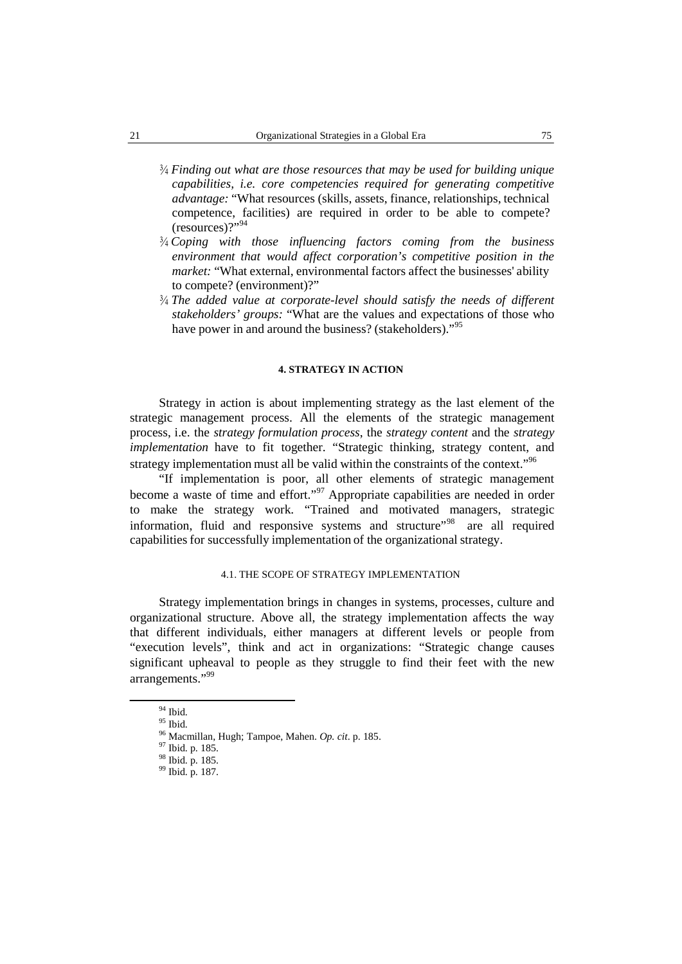- ¾ *Finding out what are those resources that may be used for building unique capabilities, i.e. core competencies required for generating competitive advantage:* "What resources (skills, assets, finance, relationships, technical competence, facilities) are required in order to be able to compete? (resources)?" 94
- ¾ *Coping with those influencing factors coming from the business environment that would affect corporation's competitive position in the market:* "What external, environmental factors affect the businesses' ability to compete? (environment)?"
- ¾ *The added value atcorporate-level should satisfy the needs of different stakeholders' groups:* "What are the values and expectations of those who have power in and around the business? (stakeholders)."<sup>95</sup>

#### **4. STRATEGY IN ACTION**

Strategy in action is about implementing strategy as the last element of the strategic management process. All the elements of the strategic management process, i.e. the *strategy formulation process*, the *strategy content* and the *strategy implementation* have to fit together. "Strategic thinking, strategy content, and strategy implementation must all be valid within the constraints of the context."<sup>96</sup>

"If implementation is poor, all other elements of strategic management become a waste of time and effort."<sup>97</sup> Appropriate capabilities are needed in order to make the strategy work. "Trained and motivated managers, strategic information, fluid and responsive systems and structure"<sup>98</sup> are all required capabilities for successfully implementation of the organizational strategy.

### 4.1. THE SCOPE OF STRATEGY IMPLEMENTATION

Strategy implementation brings in changes in systems, processes, culture and organizational structure. Above all, the strategy implementation affects the way that different individuals, either managers at different levels or people from "execution levels", think and act in organizations: "Strategic change causes significant upheaval to people as they struggle to find their feet with the new arrangements." 99

 $\frac{94}{95}$  Ibid.

<sup>95</sup> Ibid. <sup>96</sup> Macmillan, Hugh; Tampoe, Mahen. *Op. cit*. p. 185. <sup>97</sup> Ibid. p. 185. <sup>98</sup> Ibid. p. 185. <sup>99</sup> Ibid. p. 187.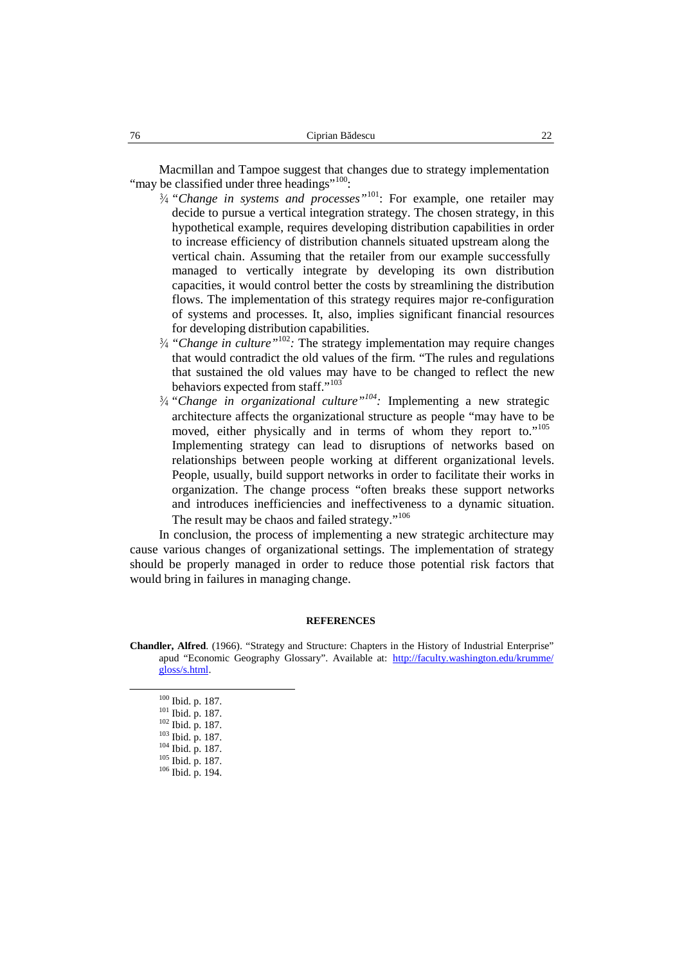Macmillan and Tampoe suggest that changes due to strategy implementation "may be classified under three headings"<sup>100</sup>:

- ¾ *"Change in systems and processes"* <sup>101</sup>: For example, one retailer may decide to pursue a vertical integration strategy. The chosen strategy, in this hypothetical example, requires developing distribution capabilities in order to increase efficiency of distribution channels situated upstream along the vertical chain. Assuming that the retailer from our example successfully managed to vertically integrate by developing its own distribution capacities, it would control better the costs by streamlining the distribution flows. The implementation of this strategy requires major re-configuration of systems and processes. It, also, implies significant financial resources for developing distribution capabilities.
- ¾ *"Change in culture"* 102 *:* The strategy implementation may require changes that would contradict the old values of the firm. "The rules and regulations that sustained the old values may have to be changed to reflect the new behaviors expected from staff."<sup>103</sup>
- ¾ *"Change in organizational culture" 104 :* Implementing a new strategic architecture affects the organizational structure as people "may have to be moved, either physically and in terms of whom they report to."<sup>105</sup> Implementing strategy can lead to disruptions of networks based on relationships between people working at different organizational levels. People, usually, build support networks in order to facilitate their works in organization. The change process "often breaks these support networks and introduces inefficiencies and ineffectiveness to a dynamic situation. The result may be chaos and failed strategy."<sup>106</sup>

In conclusion, the process of implementing a new strategic architecture may cause various changes of organizational settings. The implementation of strategy should be properly managed in order to reduce those potential risk factors that would bring in failures in managing change.

#### **REFERENCES**

**Chandler, Alfred**. (1966). "Strategy and Structure: Chapters in the History of Industrial Enterprise" apud "Economic Geography Glossary". Available at: http://faculty.washington.edu/krumme/ gloss/s.html.

<sup>100</sup> Ibid. p. 187.<br><sup>102</sup> Ibid. p. 187.<br><sup>102</sup> Ibid. p. 187.<br><sup>103</sup> Ibid. p. 187.<br><sup>105</sup> Ibid. p. 187.<br><sup>106</sup> Ibid. p. 194.